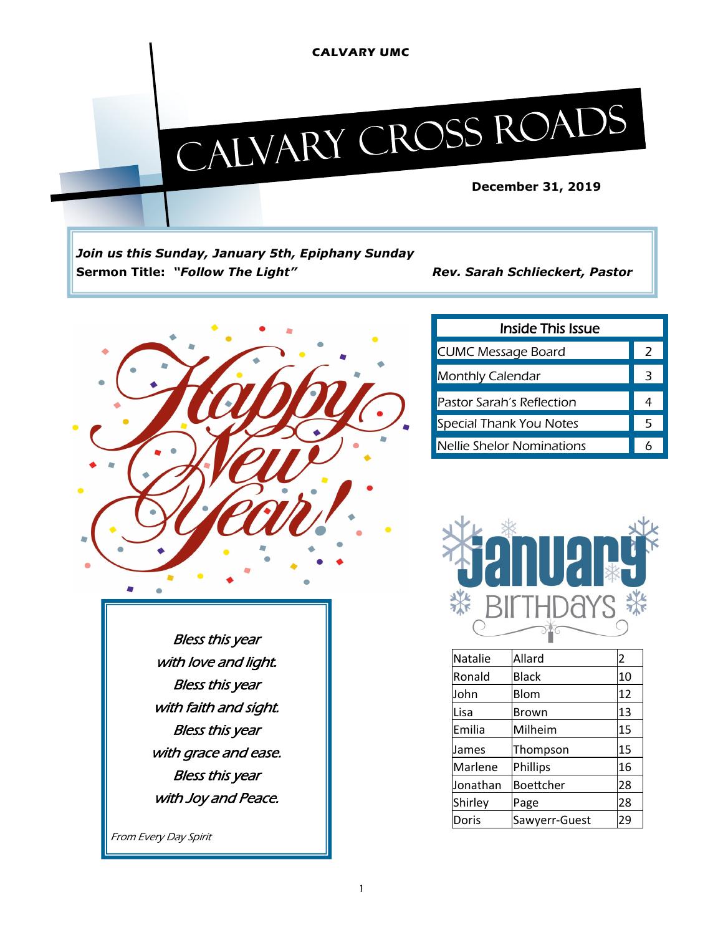#### **CALVARY UMC**

# CALVARY CROSS ROADS

*Join us this Sunday, January 5th, Epiphany Sunday* **Sermon Title:** *"Follow The Light" Rev. Sarah Schlieckert, Pastor*



| <b>Inside This Issue</b>         |  |  |  |  |  |  |
|----------------------------------|--|--|--|--|--|--|
| <b>CUMC Message Board</b>        |  |  |  |  |  |  |
| <b>Monthly Calendar</b>          |  |  |  |  |  |  |
| Pastor Sarah's Reflection        |  |  |  |  |  |  |
| <b>Special Thank You Notes</b>   |  |  |  |  |  |  |
| <b>Nellie Shelor Nominations</b> |  |  |  |  |  |  |



| <b>Natalie</b> | Allard        | 2  |
|----------------|---------------|----|
| Ronald         | <b>Black</b>  | 10 |
| John           | Blom          | 12 |
| Lisa           | Brown         | 13 |
| Emilia         | Milheim       | 15 |
| James          | Thompson      | 15 |
| Marlene        | Phillips      | 16 |
| Jonathan       | Boettcher     | 28 |
| Shirley        | Page          | 28 |
| Doris          | Sawyerr-Guest | 29 |

Bless this year with love and light. Bless this year with faith and sight. Bless this year with grace and ease. Bless this year with Joy and Peace.

From Every Day Spirit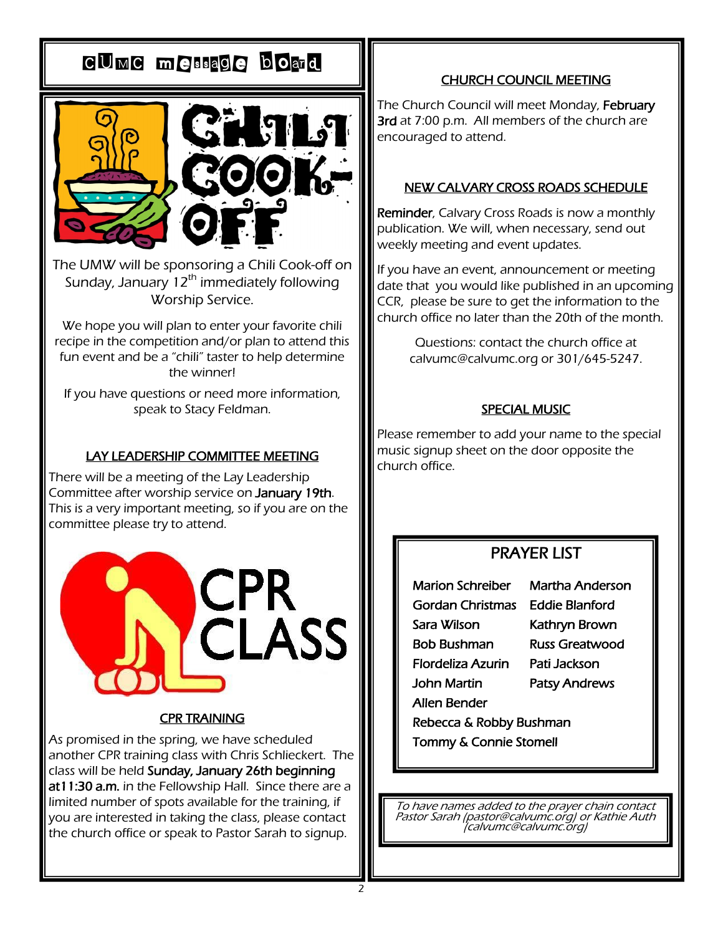## CUMC message board



The UMW will be sponsoring a Chili Cook-off on Sunday, January  $12<sup>th</sup>$  immediately following Worship Service.

We hope you will plan to enter your favorite chili recipe in the competition and/or plan to attend this fun event and be a "chili" taster to help determine the winner!

If you have questions or need more information, speak to Stacy Feldman.

#### LAY LEADERSHIP COMMITTEE MEETING

There will be a meeting of the Lay Leadership Committee after worship service on January 19th. This is a very important meeting, so if you are on the committee please try to attend.



#### CPR TRAINING

As promised in the spring, we have scheduled another CPR training class with Chris Schlieckert. The class will be held Sunday, January 26th beginning at11:30 a.m. in the Fellowship Hall. Since there are a limited number of spots available for the training, if you are interested in taking the class, please contact the church office or speak to Pastor Sarah to signup.

#### CHURCH COUNCIL MEETING

The Church Council will meet Monday, February 3rd at 7:00 p.m. All members of the church are encouraged to attend.

#### NEW CALVARY CROSS ROADS SCHEDULE

Reminder, Calvary Cross Roads is now a monthly publication. We will, when necessary, send out weekly meeting and event updates.

If you have an event, announcement or meeting date that you would like published in an upcoming CCR, please be sure to get the information to the church office no later than the 20th of the month.

> Questions: contact the church office at calvumc@calvumc.org or 301/645-5247.

#### SPECIAL MUSIC

Please remember to add your name to the special music signup sheet on the door opposite the church office.

#### PRAYER LIST

**Marion Schreiber** Ī Gordan Christmas Eddie Blanford Sara Wilson **Bob Bushman** .<br>. Flordeliza Azurin Pati Jackson **John Martin** ٦ Allen Bender .<br>.

Martha Anderson Kathryn Brown **Russ Greatwood** Patsy Andrews

Rebecca & Robby Bushman .<br>-

Tommy & Connie Stomell I

To have names added to the prayer chain contact Pastor Sarah (pastor@calvumc.org) or Kathie Auth (calvumc@calvumc.org)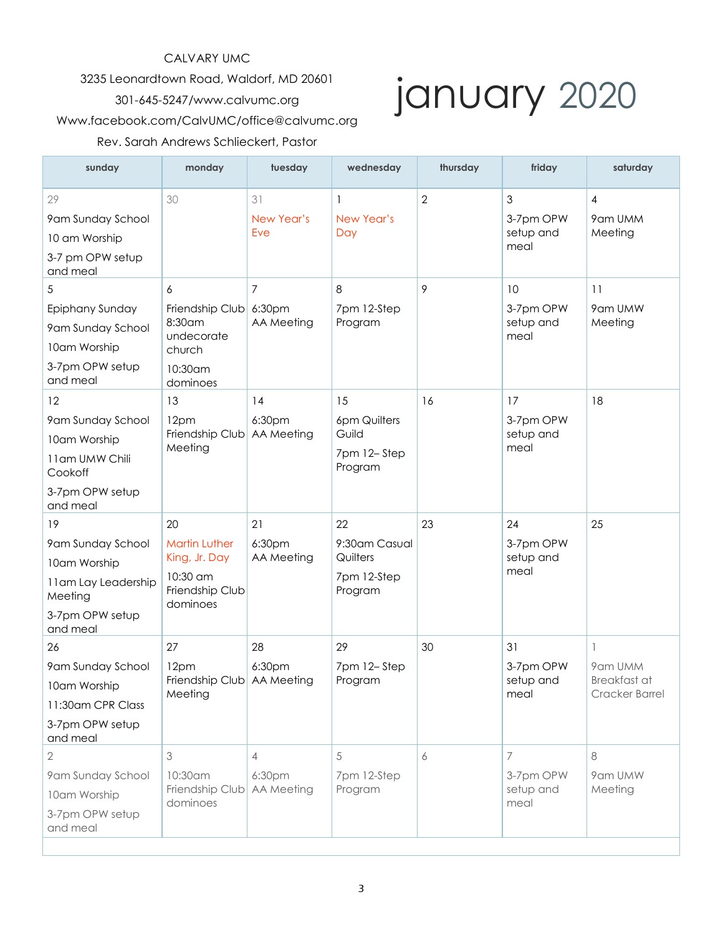#### CALVARY UMC

3235 Leonardtown Road, Waldorf, MD 20601

#### 301-645-5247/www.calvumc.org

# january 2020

#### Www.facebook.com/CalvUMC/office@calvumc.org

#### Rev. Sarah Andrews Schlieckert, Pastor

| sunday                                                                                                   | monday                                                                                 | tuesday                                | wednesday                                                 | thursday   | friday                               | saturday                                       |
|----------------------------------------------------------------------------------------------------------|----------------------------------------------------------------------------------------|----------------------------------------|-----------------------------------------------------------|------------|--------------------------------------|------------------------------------------------|
| 29<br>9am Sunday School<br>10 am Worship<br>3-7 pm OPW setup<br>and meal                                 | 30                                                                                     | 31<br>New Year's<br>Eve                | -1<br>New Year's<br>Day                                   | $\sqrt{2}$ | 3<br>3-7pm OPW<br>setup and<br>meal  | 4<br>9am UMM<br>Meeting                        |
| 5<br>Epiphany Sunday<br>9am Sunday School<br>10am Worship<br>3-7pm OPW setup<br>and meal                 | 6<br>Friendship Club<br>8:30 am<br>undecorate<br>church<br>10:30am<br>dominoes         | 7<br>6:30pm<br>AA Meeting              | 8<br>7pm 12-Step<br>Program                               | 9          | 10<br>3-7pm OPW<br>setup and<br>meal | 11<br>9am UMW<br>Meeting                       |
| 12<br>9am Sunday School<br>10am Worship<br>11am UMW Chili<br>Cookoff<br>3-7pm OPW setup<br>and meal      | 13<br>12pm<br>Friendship Club<br>Meeting                                               | 14<br>6:30pm<br>AA Meeting             | 15<br>6pm Quilters<br>Guild<br>7pm 12-Step<br>Program     | 16         | 17<br>3-7pm OPW<br>setup and<br>meal | 18                                             |
| 19<br>9am Sunday School<br>10am Worship<br>11am Lay Leadership<br>Meeting<br>3-7pm OPW setup<br>and meal | 20<br><b>Martin Luther</b><br>King, Jr. Day<br>10:30 am<br>Friendship Club<br>dominoes | 21<br>6:30pm<br>AA Meeting             | 22<br>9:30am Casual<br>Quilters<br>7pm 12-Step<br>Program | 23         | 24<br>3-7pm OPW<br>setup and<br>meal | 25                                             |
| 26<br>9am Sunday School<br>10am Worship<br>11:30am CPR Class<br>3-7pm OPW setup<br>and meal              | 27<br>12pm<br>Friendship Club AA Meeting<br>Meeting                                    | 28<br>6:30pm                           | 29<br>7pm 12-Step<br>Program                              | 30         | 31<br>3-7pm OPW<br>setup and<br>meal | 1<br>9am UMM<br>Breakfast at<br>Cracker Barrel |
| 2<br>9am Sunday School<br>10am Worship<br>3-7pm OPW setup<br>and meal                                    | 3<br>$10:30$ am<br>Friendship Club<br>dominoes                                         | $\overline{4}$<br>6:30pm<br>AA Meeting | 5<br>7pm 12-Step<br>Program                               | 6          | 7<br>3-7pm OPW<br>setup and<br>meal  | 8<br>9am UMW<br>Meeting                        |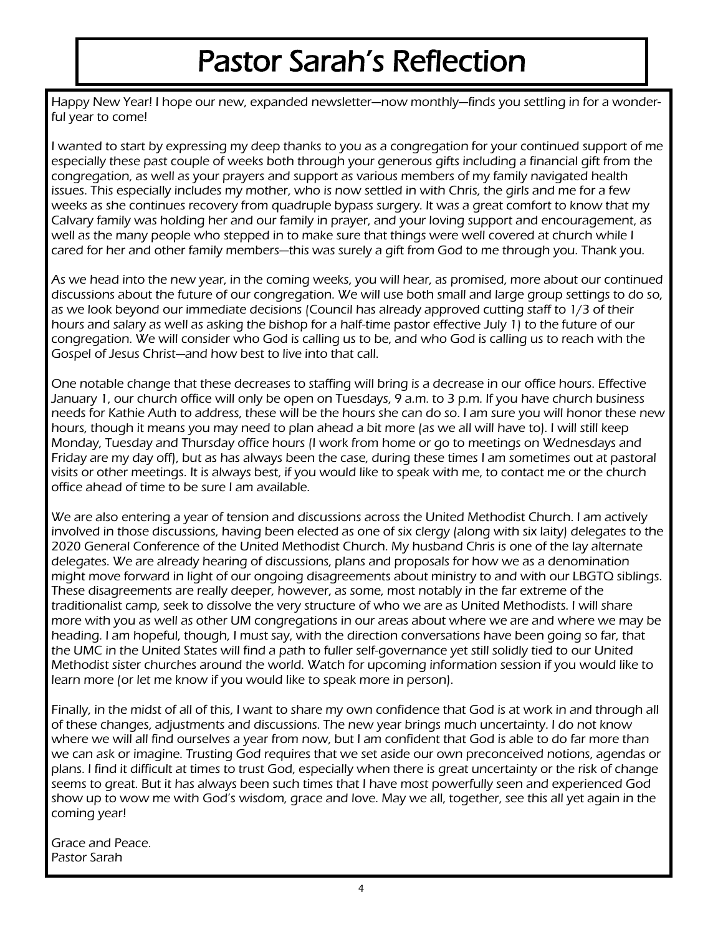# Pastor Sarah's Reflection

Happy New Year! I hope our new, expanded newsletter—now monthly—finds you settling in for a wonderful year to come!

I wanted to start by expressing my deep thanks to you as a congregation for your continued support of me especially these past couple of weeks both through your generous gifts including a financial gift from the congregation, as well as your prayers and support as various members of my family navigated health issues. This especially includes my mother, who is now settled in with Chris, the girls and me for a few weeks as she continues recovery from quadruple bypass surgery. It was a great comfort to know that my Calvary family was holding her and our family in prayer, and your loving support and encouragement, as well as the many people who stepped in to make sure that things were well covered at church while I cared for her and other family members—this was surely a gift from God to me through you. Thank you.

As we head into the new year, in the coming weeks, you will hear, as promised, more about our continued discussions about the future of our congregation. We will use both small and large group settings to do so, as we look beyond our immediate decisions (Council has already approved cutting staff to 1/3 of their hours and salary as well as asking the bishop for a half-time pastor effective July 1) to the future of our congregation. We will consider who God is calling us to be, and who God is calling us to reach with the Gospel of Jesus Christ—and how best to live into that call.

One notable change that these decreases to staffing will bring is a decrease in our office hours. Effective January 1, our church office will only be open on Tuesdays, 9 a.m. to 3 p.m. If you have church business needs for Kathie Auth to address, these will be the hours she can do so. I am sure you will honor these new hours, though it means you may need to plan ahead a bit more (as we all will have to). I will still keep Monday, Tuesday and Thursday office hours (I work from home or go to meetings on Wednesdays and Friday are my day off), but as has always been the case, during these times I am sometimes out at pastoral visits or other meetings. It is always best, if you would like to speak with me, to contact me or the church office ahead of time to be sure I am available.

We are also entering a year of tension and discussions across the United Methodist Church. I am actively involved in those discussions, having been elected as one of six clergy (along with six laity) delegates to the 2020 General Conference of the United Methodist Church. My husband Chris is one of the lay alternate delegates. We are already hearing of discussions, plans and proposals for how we as a denomination might move forward in light of our ongoing disagreements about ministry to and with our LBGTQ siblings. These disagreements are really deeper, however, as some, most notably in the far extreme of the traditionalist camp, seek to dissolve the very structure of who we are as United Methodists. I will share more with you as well as other UM congregations in our areas about where we are and where we may be heading. I am hopeful, though, I must say, with the direction conversations have been going so far, that the UMC in the United States will find a path to fuller self-governance yet still solidly tied to our United Methodist sister churches around the world. Watch for upcoming information session if you would like to learn more (or let me know if you would like to speak more in person).

Finally, in the midst of all of this, I want to share my own confidence that God is at work in and through all of these changes, adjustments and discussions. The new year brings much uncertainty. I do not know where we will all find ourselves a year from now, but I am confident that God is able to do far more than we can ask or imagine. Trusting God requires that we set aside our own preconceived notions, agendas or plans. I find it difficult at times to trust God, especially when there is great uncertainty or the risk of change seems to great. But it has always been such times that I have most powerfully seen and experienced God show up to wow me with God's wisdom, grace and love. May we all, together, see this all yet again in the coming year!

Grace and Peace. Pastor Sarah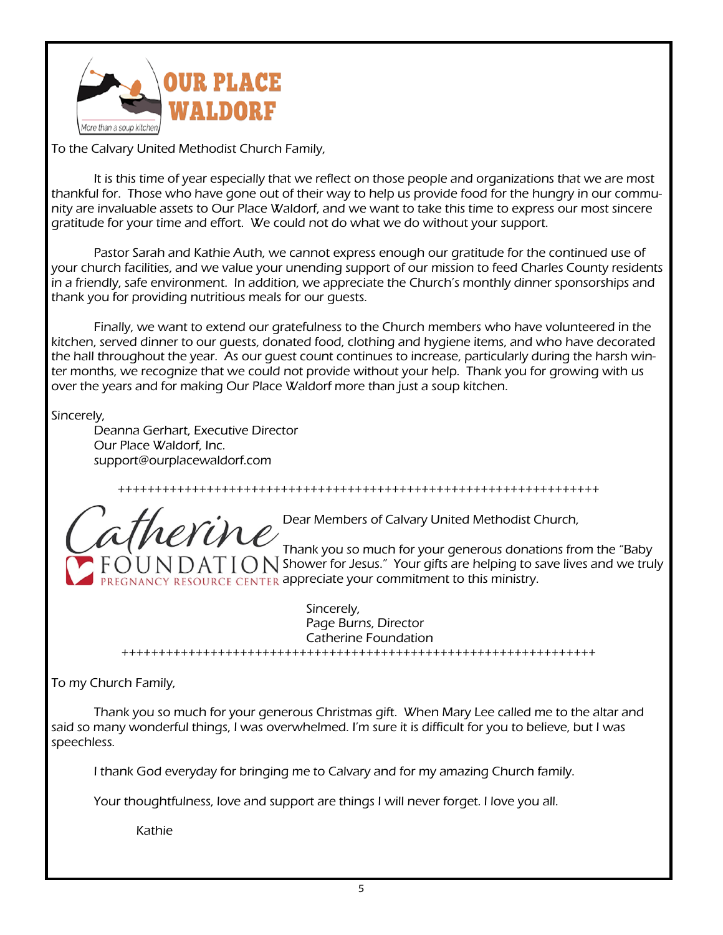

To the Calvary United Methodist Church Family,

It is this time of year especially that we reflect on those people and organizations that we are most thankful for. Those who have gone out of their way to help us provide food for the hungry in our community are invaluable assets to Our Place Waldorf, and we want to take this time to express our most sincere gratitude for your time and effort. We could not do what we do without your support.

Pastor Sarah and Kathie Auth, we cannot express enough our gratitude for the continued use of your church facilities, and we value your unending support of our mission to feed Charles County residents in a friendly, safe environment. In addition, we appreciate the Church's monthly dinner sponsorships and thank you for providing nutritious meals for our guests.

Finally, we want to extend our gratefulness to the Church members who have volunteered in the kitchen, served dinner to our guests, donated food, clothing and hygiene items, and who have decorated the hall throughout the year. As our guest count continues to increase, particularly during the harsh winter months, we recognize that we could not provide without your help. Thank you for growing with us over the years and for making Our Place Waldorf more than just a soup kitchen.

Sincerely,

Deanna Gerhart, Executive Director Our Place Waldorf, Inc. support@ourplacewaldorf.com

Dear Members of Calvary United Methodist Church, Thank you so much for your generous donations from the "Baby  $\Box$  AT  $\Box$  Shower for Jesus." Your gifts are helping to save lives and we truly REGNANCY RESOURCE CENTER appreciate your commitment to this ministry.

+++++++++++++++++++++++++++++++++++++++++++++++++++++++++++++++++

Sincerely, Page Burns, Director Catherine Foundation ++++++++++++++++++++++++++++++++++++++++++++++++++++++++++++++++

To my Church Family,

Thank you so much for your generous Christmas gift. When Mary Lee called me to the altar and said so many wonderful things, I was overwhelmed. I'm sure it is difficult for you to believe, but I was speechless.

I thank God everyday for bringing me to Calvary and for my amazing Church family.

Your thoughtfulness, love and support are things I will never forget. I love you all.

Kathie